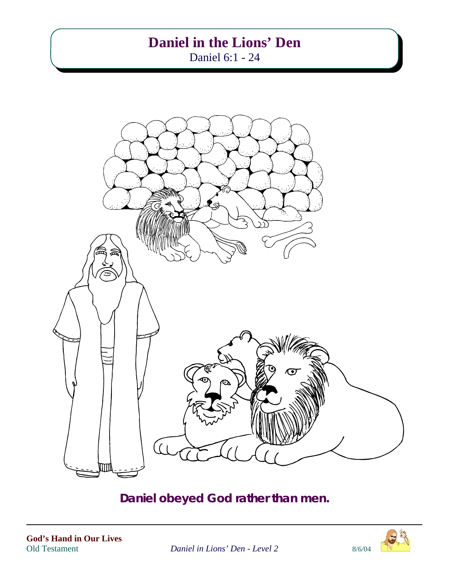# **Daniel in the Lions' Den**

Daniel 6:1 - 24



# **Daniel obeyed God rather than men.**



**Daniel in Lions' Den - Level 2** 8/6/04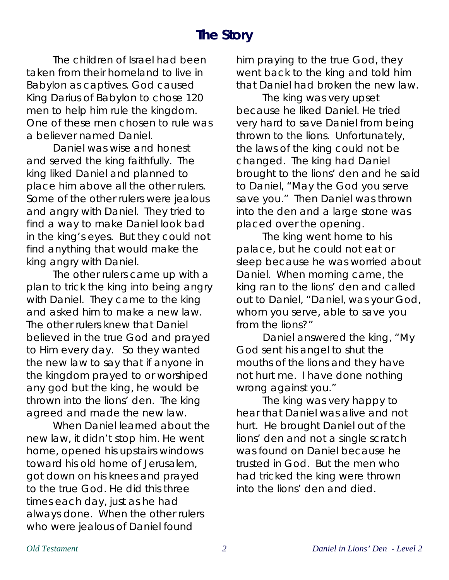# **The Story**

The children of Israel had been taken from their homeland to live in Babylon as captives. God caused King Darius of Babylon to chose 120 men to help him rule the kingdom. One of these men chosen to rule was a believer named Daniel.

Daniel was wise and honest and served the king faithfully. The king liked Daniel and planned to place him above all the other rulers. Some of the other rulers were jealous and angry with Daniel. They tried to find a way to make Daniel look bad in the king's eyes. But they could not find anything that would make the king angry with Daniel.

The other rulers came up with a plan to trick the king into being angry with Daniel. They came to the king and asked him to make a new law. The other rulers knew that Daniel believed in the true God and prayed to Him every day. So they wanted the new law to say that if anyone in the kingdom prayed to or worshiped any god but the king, he would be thrown into the lions' den. The king agreed and made the new law.

When Daniel learned about the new law, it didn't stop him. He went home, opened his upstairs windows toward his old home of Jerusalem, got down on his knees and prayed to the true God. He did this three times each day, just as he had always done. When the other rulers who were jealous of Daniel found

him praying to the true God, they went back to the king and told him that Daniel had broken the new law.

The king was very upset because he liked Daniel. He tried very hard to save Daniel from being thrown to the lions. Unfortunately, the laws of the king could not be changed. The king had Daniel brought to the lions' den and he said to Daniel, "May the God you serve save you." Then Daniel was thrown into the den and a large stone was placed over the opening.

The king went home to his palace, but he could not eat or sleep because he was worried about Daniel. When morning came, the king ran to the lions' den and called out to Daniel, "Daniel, was your God, whom you serve, able to save you from the lions?"

Daniel answered the king, "My God sent his angel to shut the mouths of the lions and they have not hurt me. I have done nothing wrong against you."

The king was very happy to hear that Daniel was alive and not hurt. He brought Daniel out of the lions' den and not a single scratch was found on Daniel because he trusted in God. But the men who had tricked the king were thrown into the lions' den and died.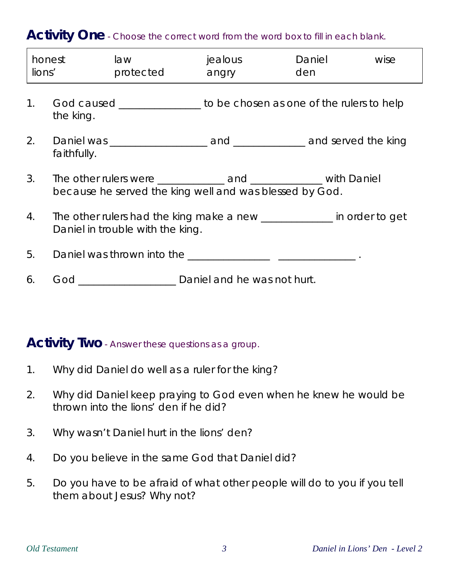## Activity One - Choose the correct word from the word box to fill in each blank.

| lions'      | honest                                                                                                    | law<br>protected                                                       | jealous<br>angry | Daniel<br>den | wise |
|-------------|-----------------------------------------------------------------------------------------------------------|------------------------------------------------------------------------|------------------|---------------|------|
| $1_{\cdot}$ | the king.                                                                                                 | God caused _________________ to be chosen as one of the rulers to help |                  |               |      |
| 2.          | faithfully.                                                                                               |                                                                        |                  |               |      |
| 3.          | because he served the king well and was blessed by God.                                                   |                                                                        |                  |               |      |
| 4.          | The other rulers had the king make a new ____________ in order to get<br>Daniel in trouble with the king. |                                                                        |                  |               |      |
| 5.          |                                                                                                           |                                                                        |                  |               |      |
| 6.          |                                                                                                           | God _________________________ Daniel and he was not hurt.              |                  |               |      |

#### **Activity Two** - Answer these questions as a group.

- 1. Why did Daniel do well as a ruler for the king?
- 2. Why did Daniel keep praying to God even when he knew he would be thrown into the lions' den if he did?
- 3. Why wasn't Daniel hurt in the lions' den?
- 4. Do you believe in the same God that Daniel did?
- 5. Do you have to be afraid of what other people will do to you if you tell them about Jesus? Why not?